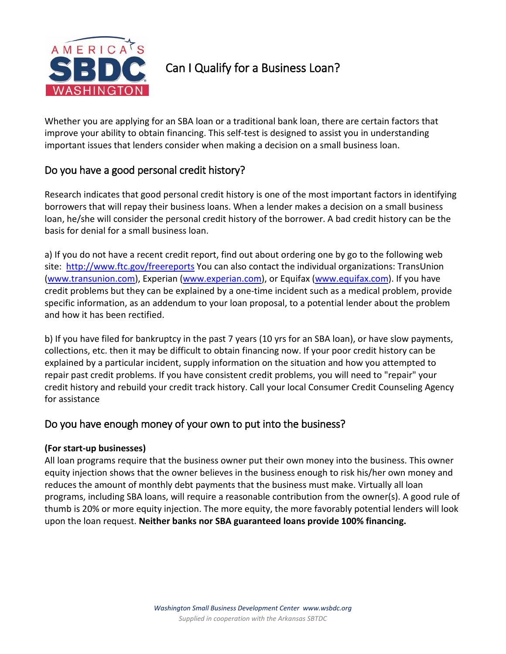

# Can I Qualify for a Business Loan?

Whether you are applying for an SBA loan or a traditional bank loan, there are certain factors that improve your ability to obtain financing. This self-test is designed to assist you in understanding important issues that lenders consider when making a decision on a small business loan.

# Do you have a good personal credit history?

Research indicates that good personal credit history is one of the most important factors in identifying borrowers that will repay their business loans. When a lender makes a decision on a small business loan, he/she will consider the personal credit history of the borrower. A bad credit history can be the basis for denial for a small business loan.

a) If you do not have a recent credit report, find out about ordering one by go to the following web site: <http://www.ftc.gov/freereports> You can also contact the individual organizations: TransUnion [\(www.transunion.com\)](http://www.transunion.com/), Experian [\(www.experian.com\)](http://www.experian.com/), or Equifax [\(www.equifax.com\)](http://www.equifax.com/). If you have credit problems but they can be explained by a one-time incident such as a medical problem, provide specific information, as an addendum to your loan proposal, to a potential lender about the problem and how it has been rectified.

b) If you have filed for bankruptcy in the past 7 years (10 yrs for an SBA loan), or have slow payments, collections, etc. then it may be difficult to obtain financing now. If your poor credit history can be explained by a particular incident, supply information on the situation and how you attempted to repair past credit problems. If you have consistent credit problems, you will need to "repair" your credit history and rebuild your credit track history. Call your local Consumer Credit Counseling Agency for assistance

# Do you have enough money of your own to put into the business?

### **(For start-up businesses)**

All loan programs require that the business owner put their own money into the business. This owner equity injection shows that the owner believes in the business enough to risk his/her own money and reduces the amount of monthly debt payments that the business must make. Virtually all loan programs, including SBA loans, will require a reasonable contribution from the owner(s). A good rule of thumb is 20% or more equity injection. The more equity, the more favorably potential lenders will look upon the loan request. **Neither banks nor SBA guaranteed loans provide 100% financing.**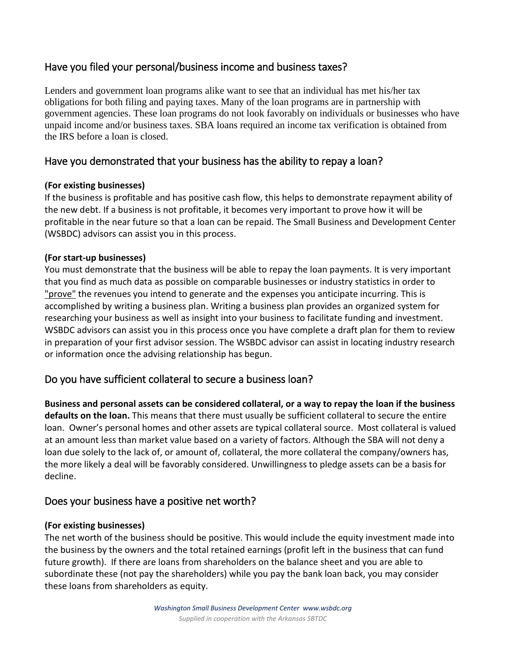## Have you filed your personal/business income and business taxes?

Lenders and government loan programs alike want to see that an individual has met his/her tax obligations for both filing and paying taxes. Many of the loan programs are in partnership with government agencies. These loan programs do not look favorably on individuals or businesses who have unpaid income and/or business taxes. SBA loans required an income tax verification is obtained from the IRS before a loan is closed.

### Have you demonstrated that your business has the ability to repay a loan?

#### **(For existing businesses)**

If the business is profitable and has positive cash flow, this helps to demonstrate repayment ability of the new debt. If a business is not profitable, it becomes very important to prove how it will be profitable in the near future so that a loan can be repaid. The Small Business and Development Center (WSBDC) advisors can assist you in this process.

#### **(For start-up businesses)**

You must demonstrate that the business will be able to repay the loan payments. It is very important that you find as much data as possible on comparable businesses or industry statistics in order to "*prove*" the revenues you intend to generate and the expenses you anticipate incurring. This is accomplished by writing a business plan. Writing a business plan provides an organized system for researching your business as well as insight into your business to facilitate funding and investment. WSBDC advisors can assist you in this process once you have complete a draft plan for them to review in preparation of your first advisor session. The WSBDC advisor can assist in locating industry research or information once the advising relationship has begun.

### Do you have sufficient collateral to secure a business loan?

**Business and personal assets can be considered collateral, or a way to repay the loan if the business defaults on the loan.** This means that there must usually be sufficient collateral to secure the entire loan. Owner's personal homes and other assets are typical collateral source. Most collateral is valued at an amount less than market value based on a variety of factors. Although the SBA will not deny a loan due solely to the lack of, or amount of, collateral, the more collateral the company/owners has, the more likely a deal will be favorably considered. Unwillingness to pledge assets can be a basis for decline.

### Does your business have a positive net worth?

#### **(For existing businesses)**

The net worth of the business should be positive. This would include the equity investment made into the business by the owners and the total retained earnings (profit left in the business that can fund future growth). If there are loans from shareholders on the balance sheet and you are able to subordinate these (not pay the shareholders) while you pay the bank loan back, you may consider these loans from shareholders as equity.